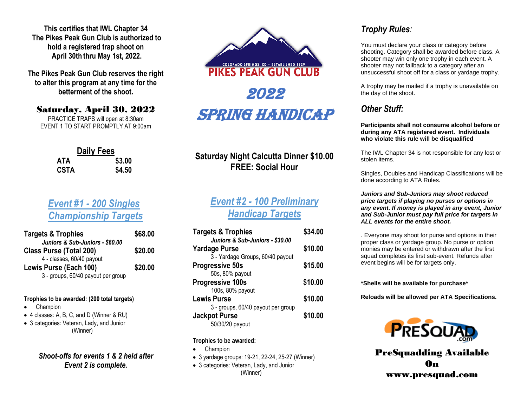**This certifies that IWL Chapter 34 The Pikes Peak Gun Club is authorized to hold a registered trap shoot on April 30th thru May 1st, 2022.**

**The Pikes Peak Gun Club reserves the right to alter this program at any time for the betterment of the shoot.**

## Saturday, April 30, 2022

PRACTICE TRAPS will open at 8:30am EVENT 1 TO START PROMPTLY AT 9:00am

|      | <b>Daily Fees</b> |        |
|------|-------------------|--------|
| ATA  |                   | \$3.00 |
| CSTA |                   | \$4.50 |

# *Event #1 - 200 Singles Championship Targets*

| <b>Targets &amp; Trophies</b>      | \$68.00 |
|------------------------------------|---------|
| Juniors & Sub-Juniors - \$60.00    |         |
| <b>Class Purse (Total 200)</b>     | \$20.00 |
| 4 - classes, 60/40 payout          |         |
| Lewis Purse (Each 100)             | \$20.00 |
| 3 - groups, 60/40 payout per group |         |

#### **Trophies to be awarded: (200 total targets)**

- Champion
- •4 classes: A, B, C, and D (Winner & RU)
- 3 categories: Veteran, Lady, and Junior (Winner)

### *Shoot-offs for events 1 & 2 held after Event 2 is complete.*



# **Saturday Night Calcutta Dinner \$10.00 FREE: Social Hour**

# *Event #2 - 100 Preliminary Handicap Targets*

| <b>Targets &amp; Trophies</b>      | \$34.00 |
|------------------------------------|---------|
| Juniors & Sub-Juniors - \$30.00    |         |
| <b>Yardage Purse</b>               | \$10.00 |
| 3 - Yardage Groups, 60/40 payout   |         |
| <b>Progressive 50s</b>             | \$15.00 |
| 50s, 80% payout                    |         |
| <b>Progressive 100s</b>            | \$10.00 |
| 100s, 80% payout                   |         |
| <b>Lewis Purse</b>                 | \$10.00 |
| 3 - groups, 60/40 payout per group |         |
| <b>Jackpot Purse</b>               | \$10.00 |
| 50/30/20 payout                    |         |

#### **Trophies to be awarded:**

- Champion
- 3 yardage groups: 19-21, 22-24, 25-27 (Winner)
- 3 categories: Veteran, Lady, and Junior (Winner)

## *Trophy Rules:*

You must declare your class or category before shooting. Category shall be awarded before class. A shooter may win only one trophy in each event. A shooter may not fallback to a category after an unsuccessful shoot off for a class or yardage trophy.

A trophy may be mailed if a trophy is unavailable on the day of the shoot.

# *Other Stuff:*

**Participants shall not consume alcohol before or during any ATA registered event. Individuals who violate this rule will be disqualified**

The IWL Chapter 34 is not responsible for any lost or stolen items.

Singles, Doubles and Handicap Classifications will be done according to ATA Rules.

*Juniors and Sub-Juniors may shoot reduced price targets if playing no purses or options in any event. If money is played in any event, Junior and Sub-Junior must pay full price for targets in ALL events for the entire shoot.*

. Everyone may shoot for purse and options in their proper class or yardage group. No purse or option monies may be entered or withdrawn after the first squad completes its first sub-event. Refunds after event begins will be for targets only.

**\*Shells will be available for purchase\***

**Reloads will be allowed per ATA Specifications.**



PreSquadding Available On www.presquad.com